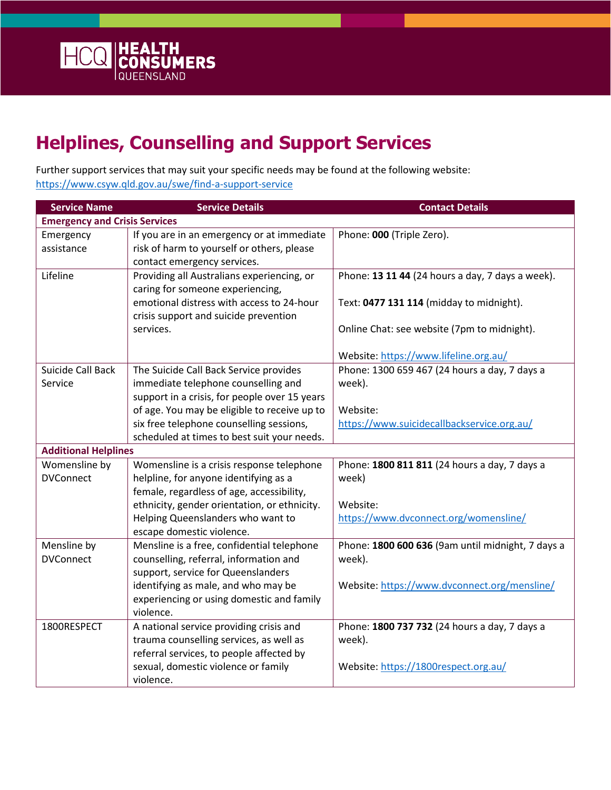

## **Helplines, Counselling and Support Services**

Further support services that may suit your specific needs may be found at the following website: <https://www.csyw.qld.gov.au/swe/find-a-support-service>

| <b>Service Name</b>                  | <b>Service Details</b>                        | <b>Contact Details</b>                            |  |
|--------------------------------------|-----------------------------------------------|---------------------------------------------------|--|
| <b>Emergency and Crisis Services</b> |                                               |                                                   |  |
| Emergency                            | If you are in an emergency or at immediate    | Phone: 000 (Triple Zero).                         |  |
| assistance                           | risk of harm to yourself or others, please    |                                                   |  |
|                                      | contact emergency services.                   |                                                   |  |
| Lifeline                             | Providing all Australians experiencing, or    | Phone: 13 11 44 (24 hours a day, 7 days a week).  |  |
|                                      | caring for someone experiencing,              |                                                   |  |
|                                      | emotional distress with access to 24-hour     | Text: 0477 131 114 (midday to midnight).          |  |
|                                      | crisis support and suicide prevention         |                                                   |  |
|                                      | services.                                     | Online Chat: see website (7pm to midnight).       |  |
|                                      |                                               | Website: https://www.lifeline.org.au/             |  |
| Suicide Call Back                    | The Suicide Call Back Service provides        | Phone: 1300 659 467 (24 hours a day, 7 days a     |  |
| Service                              | immediate telephone counselling and           | week).                                            |  |
|                                      | support in a crisis, for people over 15 years |                                                   |  |
|                                      | of age. You may be eligible to receive up to  | Website:                                          |  |
|                                      | six free telephone counselling sessions,      | https://www.suicidecallbackservice.org.au/        |  |
|                                      | scheduled at times to best suit your needs.   |                                                   |  |
| <b>Additional Helplines</b>          |                                               |                                                   |  |
| Womensline by                        | Womensline is a crisis response telephone     | Phone: 1800 811 811 (24 hours a day, 7 days a     |  |
| <b>DVConnect</b>                     | helpline, for anyone identifying as a         | week)                                             |  |
|                                      | female, regardless of age, accessibility,     |                                                   |  |
|                                      | ethnicity, gender orientation, or ethnicity.  | Website:                                          |  |
|                                      | Helping Queenslanders who want to             | https://www.dvconnect.org/womensline/             |  |
|                                      | escape domestic violence.                     |                                                   |  |
| Mensline by                          | Mensline is a free, confidential telephone    | Phone: 1800 600 636 (9am until midnight, 7 days a |  |
| <b>DVConnect</b>                     | counselling, referral, information and        | week).                                            |  |
|                                      | support, service for Queenslanders            |                                                   |  |
|                                      | identifying as male, and who may be           | Website: https://www.dvconnect.org/mensline/      |  |
|                                      | experiencing or using domestic and family     |                                                   |  |
|                                      | violence.                                     |                                                   |  |
| 1800RESPECT                          | A national service providing crisis and       | Phone: 1800 737 732 (24 hours a day, 7 days a     |  |
|                                      | trauma counselling services, as well as       | week).                                            |  |
|                                      | referral services, to people affected by      |                                                   |  |
|                                      | sexual, domestic violence or family           | Website: https://1800respect.org.au/              |  |
|                                      | violence.                                     |                                                   |  |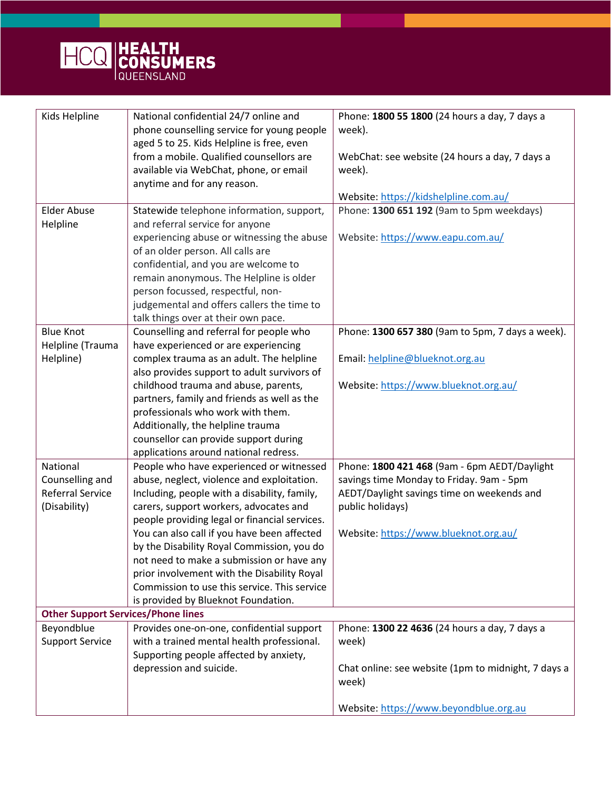

| Kids Helpline                             | National confidential 24/7 online and         | Phone: 1800 55 1800 (24 hours a day, 7 days a       |
|-------------------------------------------|-----------------------------------------------|-----------------------------------------------------|
|                                           | phone counselling service for young people    | week).                                              |
|                                           | aged 5 to 25. Kids Helpline is free, even     |                                                     |
|                                           | from a mobile. Qualified counsellors are      | WebChat: see website (24 hours a day, 7 days a      |
|                                           | available via WebChat, phone, or email        | week).                                              |
|                                           | anytime and for any reason.                   |                                                     |
|                                           |                                               | Website: https://kidshelpline.com.au/               |
| <b>Elder Abuse</b>                        | Statewide telephone information, support,     | Phone: 1300 651 192 (9am to 5pm weekdays)           |
| Helpline                                  | and referral service for anyone               |                                                     |
|                                           | experiencing abuse or witnessing the abuse    | Website: https://www.eapu.com.au/                   |
|                                           | of an older person. All calls are             |                                                     |
|                                           | confidential, and you are welcome to          |                                                     |
|                                           | remain anonymous. The Helpline is older       |                                                     |
|                                           | person focussed, respectful, non-             |                                                     |
|                                           | judgemental and offers callers the time to    |                                                     |
|                                           | talk things over at their own pace.           |                                                     |
| <b>Blue Knot</b>                          | Counselling and referral for people who       | Phone: 1300 657 380 (9am to 5pm, 7 days a week).    |
|                                           |                                               |                                                     |
| Helpline (Trauma                          | have experienced or are experiencing          |                                                     |
| Helpline)                                 | complex trauma as an adult. The helpline      | Email: helpline@blueknot.org.au                     |
|                                           | also provides support to adult survivors of   |                                                     |
|                                           | childhood trauma and abuse, parents,          | Website: https://www.blueknot.org.au/               |
|                                           | partners, family and friends as well as the   |                                                     |
|                                           | professionals who work with them.             |                                                     |
|                                           | Additionally, the helpline trauma             |                                                     |
|                                           | counsellor can provide support during         |                                                     |
|                                           | applications around national redress.         |                                                     |
| National                                  | People who have experienced or witnessed      | Phone: 1800 421 468 (9am - 6pm AEDT/Daylight        |
| Counselling and                           | abuse, neglect, violence and exploitation.    | savings time Monday to Friday. 9am - 5pm            |
| <b>Referral Service</b>                   | Including, people with a disability, family,  | AEDT/Daylight savings time on weekends and          |
| (Disability)                              | carers, support workers, advocates and        | public holidays)                                    |
|                                           | people providing legal or financial services. |                                                     |
|                                           | You can also call if you have been affected   | Website: https://www.blueknot.org.au/               |
|                                           | by the Disability Royal Commission, you do    |                                                     |
|                                           | not need to make a submission or have any     |                                                     |
|                                           | prior involvement with the Disability Royal   |                                                     |
|                                           | Commission to use this service. This service  |                                                     |
|                                           | is provided by Blueknot Foundation.           |                                                     |
|                                           |                                               |                                                     |
| <b>Other Support Services/Phone lines</b> |                                               |                                                     |
| Beyondblue                                | Provides one-on-one, confidential support     | Phone: 1300 22 4636 (24 hours a day, 7 days a       |
| <b>Support Service</b>                    | with a trained mental health professional.    | week)                                               |
|                                           | Supporting people affected by anxiety,        |                                                     |
|                                           | depression and suicide.                       | Chat online: see website (1pm to midnight, 7 days a |
|                                           |                                               | week)                                               |
|                                           |                                               |                                                     |
|                                           |                                               | Website: https://www.beyondblue.org.au              |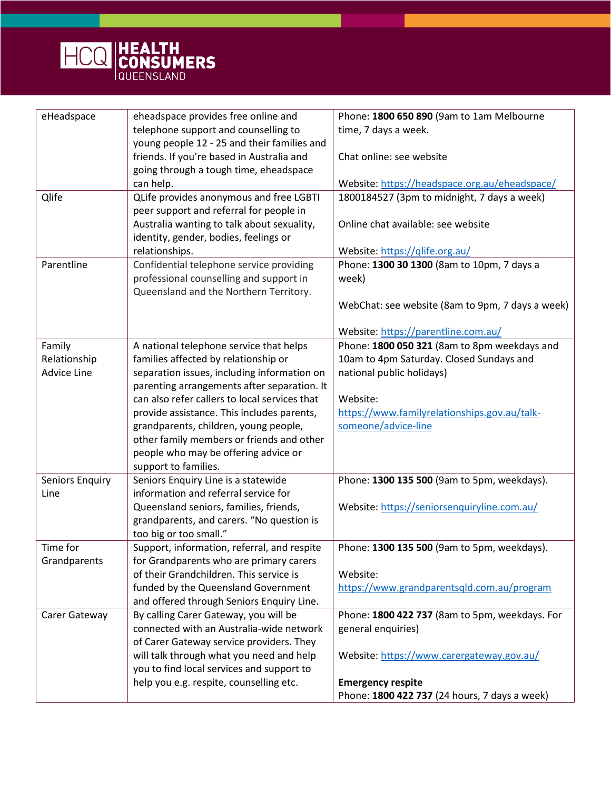

| eHeadspace                                                 | eheadspace provides free online and                                                                                                                                                                                                                                                                                                                                                                                                                                                                                                                                                                                                                                          | Phone: 1800 650 890 (9am to 1am Melbourne                                                                                                                                                                                                                                              |
|------------------------------------------------------------|------------------------------------------------------------------------------------------------------------------------------------------------------------------------------------------------------------------------------------------------------------------------------------------------------------------------------------------------------------------------------------------------------------------------------------------------------------------------------------------------------------------------------------------------------------------------------------------------------------------------------------------------------------------------------|----------------------------------------------------------------------------------------------------------------------------------------------------------------------------------------------------------------------------------------------------------------------------------------|
|                                                            |                                                                                                                                                                                                                                                                                                                                                                                                                                                                                                                                                                                                                                                                              |                                                                                                                                                                                                                                                                                        |
|                                                            | telephone support and counselling to                                                                                                                                                                                                                                                                                                                                                                                                                                                                                                                                                                                                                                         | time, 7 days a week.                                                                                                                                                                                                                                                                   |
|                                                            | young people 12 - 25 and their families and                                                                                                                                                                                                                                                                                                                                                                                                                                                                                                                                                                                                                                  |                                                                                                                                                                                                                                                                                        |
|                                                            | friends. If you're based in Australia and                                                                                                                                                                                                                                                                                                                                                                                                                                                                                                                                                                                                                                    | Chat online: see website                                                                                                                                                                                                                                                               |
|                                                            | going through a tough time, eheadspace                                                                                                                                                                                                                                                                                                                                                                                                                                                                                                                                                                                                                                       |                                                                                                                                                                                                                                                                                        |
|                                                            | can help.                                                                                                                                                                                                                                                                                                                                                                                                                                                                                                                                                                                                                                                                    | Website: https://headspace.org.au/eheadspace/                                                                                                                                                                                                                                          |
| Qlife                                                      | QLife provides anonymous and free LGBTI                                                                                                                                                                                                                                                                                                                                                                                                                                                                                                                                                                                                                                      | 1800184527 (3pm to midnight, 7 days a week)                                                                                                                                                                                                                                            |
|                                                            | peer support and referral for people in                                                                                                                                                                                                                                                                                                                                                                                                                                                                                                                                                                                                                                      |                                                                                                                                                                                                                                                                                        |
|                                                            | Australia wanting to talk about sexuality,                                                                                                                                                                                                                                                                                                                                                                                                                                                                                                                                                                                                                                   | Online chat available: see website                                                                                                                                                                                                                                                     |
|                                                            | identity, gender, bodies, feelings or                                                                                                                                                                                                                                                                                                                                                                                                                                                                                                                                                                                                                                        |                                                                                                                                                                                                                                                                                        |
|                                                            | relationships.                                                                                                                                                                                                                                                                                                                                                                                                                                                                                                                                                                                                                                                               | Website: https://qlife.org.au/                                                                                                                                                                                                                                                         |
| Parentline                                                 | Confidential telephone service providing                                                                                                                                                                                                                                                                                                                                                                                                                                                                                                                                                                                                                                     | Phone: 1300 30 1300 (8am to 10pm, 7 days a                                                                                                                                                                                                                                             |
|                                                            | professional counselling and support in                                                                                                                                                                                                                                                                                                                                                                                                                                                                                                                                                                                                                                      | week)                                                                                                                                                                                                                                                                                  |
|                                                            | Queensland and the Northern Territory.                                                                                                                                                                                                                                                                                                                                                                                                                                                                                                                                                                                                                                       |                                                                                                                                                                                                                                                                                        |
|                                                            |                                                                                                                                                                                                                                                                                                                                                                                                                                                                                                                                                                                                                                                                              | WebChat: see website (8am to 9pm, 7 days a week)                                                                                                                                                                                                                                       |
|                                                            |                                                                                                                                                                                                                                                                                                                                                                                                                                                                                                                                                                                                                                                                              |                                                                                                                                                                                                                                                                                        |
|                                                            |                                                                                                                                                                                                                                                                                                                                                                                                                                                                                                                                                                                                                                                                              | Website: https://parentline.com.au/                                                                                                                                                                                                                                                    |
| Family                                                     | A national telephone service that helps                                                                                                                                                                                                                                                                                                                                                                                                                                                                                                                                                                                                                                      | Phone: 1800 050 321 (8am to 8pm weekdays and                                                                                                                                                                                                                                           |
| Relationship                                               | families affected by relationship or                                                                                                                                                                                                                                                                                                                                                                                                                                                                                                                                                                                                                                         | 10am to 4pm Saturday. Closed Sundays and                                                                                                                                                                                                                                               |
| <b>Advice Line</b>                                         | separation issues, including information on                                                                                                                                                                                                                                                                                                                                                                                                                                                                                                                                                                                                                                  | national public holidays)                                                                                                                                                                                                                                                              |
|                                                            |                                                                                                                                                                                                                                                                                                                                                                                                                                                                                                                                                                                                                                                                              |                                                                                                                                                                                                                                                                                        |
|                                                            |                                                                                                                                                                                                                                                                                                                                                                                                                                                                                                                                                                                                                                                                              |                                                                                                                                                                                                                                                                                        |
|                                                            |                                                                                                                                                                                                                                                                                                                                                                                                                                                                                                                                                                                                                                                                              |                                                                                                                                                                                                                                                                                        |
|                                                            |                                                                                                                                                                                                                                                                                                                                                                                                                                                                                                                                                                                                                                                                              |                                                                                                                                                                                                                                                                                        |
|                                                            |                                                                                                                                                                                                                                                                                                                                                                                                                                                                                                                                                                                                                                                                              |                                                                                                                                                                                                                                                                                        |
|                                                            |                                                                                                                                                                                                                                                                                                                                                                                                                                                                                                                                                                                                                                                                              |                                                                                                                                                                                                                                                                                        |
|                                                            |                                                                                                                                                                                                                                                                                                                                                                                                                                                                                                                                                                                                                                                                              |                                                                                                                                                                                                                                                                                        |
|                                                            |                                                                                                                                                                                                                                                                                                                                                                                                                                                                                                                                                                                                                                                                              |                                                                                                                                                                                                                                                                                        |
|                                                            |                                                                                                                                                                                                                                                                                                                                                                                                                                                                                                                                                                                                                                                                              |                                                                                                                                                                                                                                                                                        |
|                                                            |                                                                                                                                                                                                                                                                                                                                                                                                                                                                                                                                                                                                                                                                              |                                                                                                                                                                                                                                                                                        |
|                                                            |                                                                                                                                                                                                                                                                                                                                                                                                                                                                                                                                                                                                                                                                              |                                                                                                                                                                                                                                                                                        |
|                                                            |                                                                                                                                                                                                                                                                                                                                                                                                                                                                                                                                                                                                                                                                              |                                                                                                                                                                                                                                                                                        |
|                                                            |                                                                                                                                                                                                                                                                                                                                                                                                                                                                                                                                                                                                                                                                              |                                                                                                                                                                                                                                                                                        |
|                                                            |                                                                                                                                                                                                                                                                                                                                                                                                                                                                                                                                                                                                                                                                              |                                                                                                                                                                                                                                                                                        |
|                                                            |                                                                                                                                                                                                                                                                                                                                                                                                                                                                                                                                                                                                                                                                              |                                                                                                                                                                                                                                                                                        |
|                                                            |                                                                                                                                                                                                                                                                                                                                                                                                                                                                                                                                                                                                                                                                              |                                                                                                                                                                                                                                                                                        |
|                                                            |                                                                                                                                                                                                                                                                                                                                                                                                                                                                                                                                                                                                                                                                              |                                                                                                                                                                                                                                                                                        |
|                                                            | and offered through Seniors Enquiry Line.                                                                                                                                                                                                                                                                                                                                                                                                                                                                                                                                                                                                                                    |                                                                                                                                                                                                                                                                                        |
| Carer Gateway                                              | By calling Carer Gateway, you will be                                                                                                                                                                                                                                                                                                                                                                                                                                                                                                                                                                                                                                        | Phone: 1800 422 737 (8am to 5pm, weekdays. For                                                                                                                                                                                                                                         |
|                                                            | connected with an Australia-wide network                                                                                                                                                                                                                                                                                                                                                                                                                                                                                                                                                                                                                                     | general enquiries)                                                                                                                                                                                                                                                                     |
|                                                            | of Carer Gateway service providers. They                                                                                                                                                                                                                                                                                                                                                                                                                                                                                                                                                                                                                                     |                                                                                                                                                                                                                                                                                        |
|                                                            | will talk through what you need and help                                                                                                                                                                                                                                                                                                                                                                                                                                                                                                                                                                                                                                     | Website: https://www.carergateway.gov.au/                                                                                                                                                                                                                                              |
|                                                            | you to find local services and support to                                                                                                                                                                                                                                                                                                                                                                                                                                                                                                                                                                                                                                    |                                                                                                                                                                                                                                                                                        |
|                                                            | help you e.g. respite, counselling etc.                                                                                                                                                                                                                                                                                                                                                                                                                                                                                                                                                                                                                                      | <b>Emergency respite</b>                                                                                                                                                                                                                                                               |
|                                                            |                                                                                                                                                                                                                                                                                                                                                                                                                                                                                                                                                                                                                                                                              | Phone: 1800 422 737 (24 hours, 7 days a week)                                                                                                                                                                                                                                          |
| <b>Seniors Enquiry</b><br>Line<br>Time for<br>Grandparents | parenting arrangements after separation. It<br>can also refer callers to local services that<br>provide assistance. This includes parents,<br>grandparents, children, young people,<br>other family members or friends and other<br>people who may be offering advice or<br>support to families.<br>Seniors Enquiry Line is a statewide<br>information and referral service for<br>Queensland seniors, families, friends,<br>grandparents, and carers. "No question is<br>too big or too small."<br>Support, information, referral, and respite<br>for Grandparents who are primary carers<br>of their Grandchildren. This service is<br>funded by the Queensland Government | Website:<br>https://www.familyrelationships.gov.au/talk-<br>someone/advice-line<br>Phone: 1300 135 500 (9am to 5pm, weekdays).<br>Website: https://seniorsenquiryline.com.au/<br>Phone: 1300 135 500 (9am to 5pm, weekdays).<br>Website:<br>https://www.grandparentsqld.com.au/program |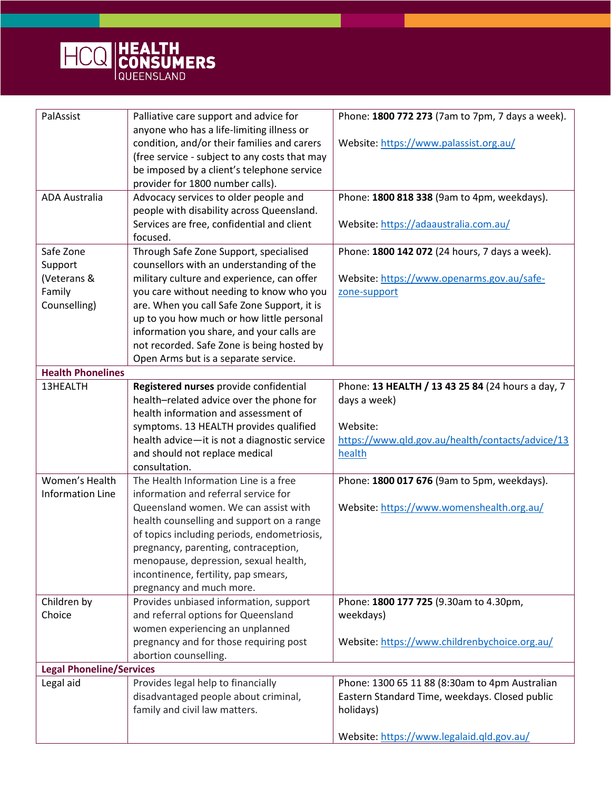

| PalAssist                                                                                                                            | Palliative care support and advice for<br>anyone who has a life-limiting illness or     | Phone: 1800 772 273 (7am to 7pm, 7 days a week).  |  |  |
|--------------------------------------------------------------------------------------------------------------------------------------|-----------------------------------------------------------------------------------------|---------------------------------------------------|--|--|
|                                                                                                                                      | condition, and/or their families and carers                                             | Website: https://www.palassist.org.au/            |  |  |
|                                                                                                                                      | (free service - subject to any costs that may                                           |                                                   |  |  |
|                                                                                                                                      | be imposed by a client's telephone service                                              |                                                   |  |  |
|                                                                                                                                      | provider for 1800 number calls).                                                        |                                                   |  |  |
| <b>ADA Australia</b>                                                                                                                 | Advocacy services to older people and                                                   | Phone: 1800 818 338 (9am to 4pm, weekdays).       |  |  |
|                                                                                                                                      | people with disability across Queensland.<br>Services are free, confidential and client | Website: https://adaaustralia.com.au/             |  |  |
|                                                                                                                                      | focused.                                                                                |                                                   |  |  |
| Safe Zone                                                                                                                            | Through Safe Zone Support, specialised                                                  | Phone: 1800 142 072 (24 hours, 7 days a week).    |  |  |
| Support                                                                                                                              | counsellors with an understanding of the                                                |                                                   |  |  |
| (Veterans &                                                                                                                          | military culture and experience, can offer                                              | Website: https://www.openarms.gov.au/safe-        |  |  |
| Family                                                                                                                               | you care without needing to know who you                                                | zone-support                                      |  |  |
| Counselling)                                                                                                                         | are. When you call Safe Zone Support, it is                                             |                                                   |  |  |
|                                                                                                                                      | up to you how much or how little personal                                               |                                                   |  |  |
|                                                                                                                                      | information you share, and your calls are                                               |                                                   |  |  |
|                                                                                                                                      | not recorded. Safe Zone is being hosted by                                              |                                                   |  |  |
| <b>Health Phonelines</b>                                                                                                             | Open Arms but is a separate service.                                                    |                                                   |  |  |
| 13HEALTH                                                                                                                             | Registered nurses provide confidential                                                  | Phone: 13 HEALTH / 13 43 25 84 (24 hours a day, 7 |  |  |
|                                                                                                                                      | health-related advice over the phone for                                                | days a week)                                      |  |  |
|                                                                                                                                      | health information and assessment of                                                    |                                                   |  |  |
|                                                                                                                                      | symptoms. 13 HEALTH provides qualified                                                  | Website:                                          |  |  |
|                                                                                                                                      | health advice-it is not a diagnostic service                                            | https://www.qld.gov.au/health/contacts/advice/13  |  |  |
|                                                                                                                                      | and should not replace medical                                                          | health                                            |  |  |
|                                                                                                                                      | consultation.                                                                           |                                                   |  |  |
| Women's Health<br><b>Information Line</b>                                                                                            | The Health Information Line is a free<br>information and referral service for           | Phone: 1800 017 676 (9am to 5pm, weekdays).       |  |  |
|                                                                                                                                      | Queensland women. We can assist with                                                    | Website: https://www.womenshealth.org.au/         |  |  |
|                                                                                                                                      | health counselling and support on a range                                               |                                                   |  |  |
|                                                                                                                                      | of topics including periods, endometriosis,                                             |                                                   |  |  |
|                                                                                                                                      | pregnancy, parenting, contraception,                                                    |                                                   |  |  |
|                                                                                                                                      | menopause, depression, sexual health,                                                   |                                                   |  |  |
|                                                                                                                                      | incontinence, fertility, pap smears,                                                    |                                                   |  |  |
|                                                                                                                                      | pregnancy and much more.                                                                |                                                   |  |  |
| Children by                                                                                                                          | Provides unbiased information, support                                                  | Phone: 1800 177 725 (9.30am to 4.30pm,            |  |  |
| Choice                                                                                                                               | and referral options for Queensland                                                     | weekdays)                                         |  |  |
|                                                                                                                                      | women experiencing an unplanned                                                         |                                                   |  |  |
|                                                                                                                                      | pregnancy and for those requiring post                                                  | Website: https://www.childrenbychoice.org.au/     |  |  |
|                                                                                                                                      | abortion counselling.                                                                   |                                                   |  |  |
| <b>Legal Phoneline/Services</b><br>Provides legal help to financially<br>Phone: 1300 65 11 88 (8:30am to 4pm Australian<br>Legal aid |                                                                                         |                                                   |  |  |
|                                                                                                                                      | disadvantaged people about criminal,                                                    | Eastern Standard Time, weekdays. Closed public    |  |  |
|                                                                                                                                      | family and civil law matters.                                                           | holidays)                                         |  |  |
|                                                                                                                                      |                                                                                         |                                                   |  |  |
|                                                                                                                                      |                                                                                         | Website: https://www.legalaid.qld.gov.au/         |  |  |